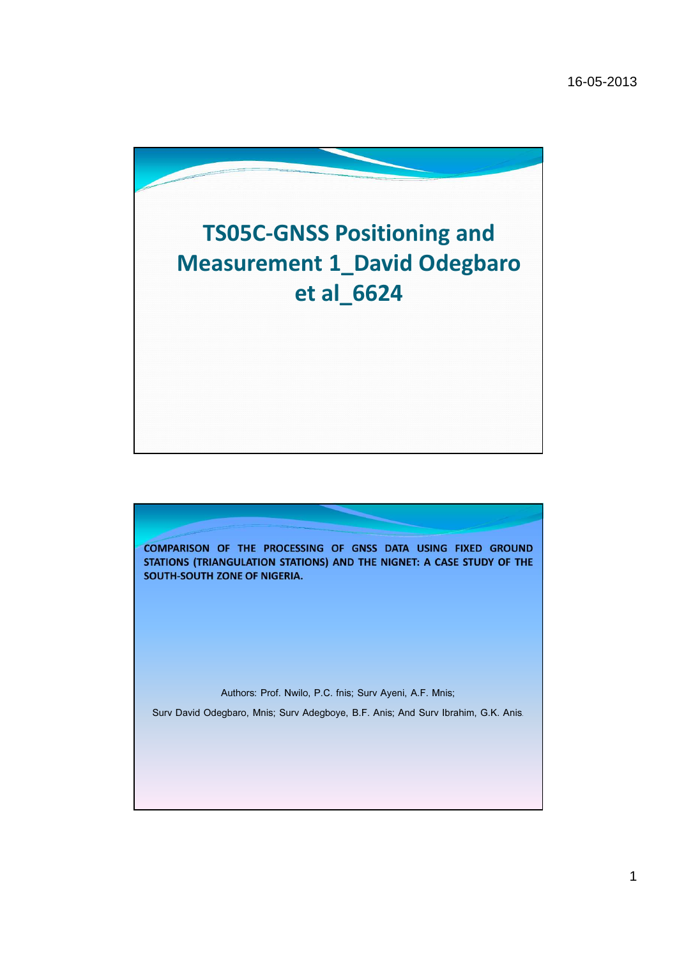

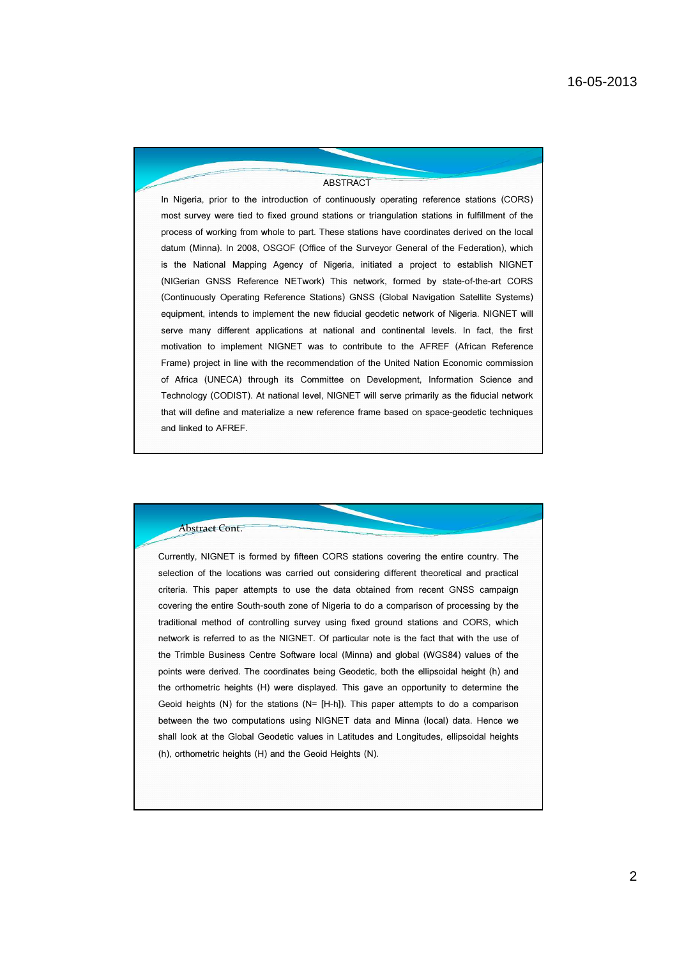#### **ABSTRACT**

In Nigeria, prior to the introduction of continuously operating reference stations (CORS) most survey were tied to fixed ground stations or triangulation stations in fulfillment of the process of working from whole to part. These stations have coordinates derived on the local datum (Minna). In 2008, OSGOF (Office of the Surveyor General of the Federation), which is the National Mapping Agency of Nigeria, initiated a project to establish NIGNET (NIGerian GNSS Reference NETwork) This network, formed by state-of-the-art CORS (Continuously Operating Reference Stations) GNSS (Global Navigation Satellite Systems) equipment, intends to implement the new fiducial geodetic network of Nigeria. NIGNET will serve many different applications at national and continental levels. In fact, the first motivation to implement NIGNET was to contribute to the AFREF (African Reference Frame) project in line with the recommendation of the United Nation Economic commission of Africa (UNECA) through its Committee on Development, Information Science and Technology (CODIST). At national level, NIGNET will serve primarily as the fiducial network that will define and materialize a new reference frame based on space-geodetic techniques and linked to AFREF.

### Abstract Cont.

Currently, NIGNET is formed by fifteen CORS stations covering the entire country. The selection of the locations was carried out considering different theoretical and practical criteria. This paper attempts to use the data obtained from recent GNSS campaign covering the entire South-south zone of Nigeria to do a comparison of processing by the traditional method of controlling survey using fixed ground stations and CORS, which network is referred to as the NIGNET. Of particular note is the fact that with the use of the Trimble Business Centre Software local (Minna) and global (WGS84) values of the points were derived. The coordinates being Geodetic, both the ellipsoidal height (h) and the orthometric heights (H) were displayed. This gave an opportunity to determine the Geoid heights (N) for the stations (N= [H-h]). This paper attempts to do a comparison between the two computations using NIGNET data and Minna (local) data. Hence we shall look at the Global Geodetic values in Latitudes and Longitudes, ellipsoidal heights (h), orthometric heights (H) and the Geoid Heights (N).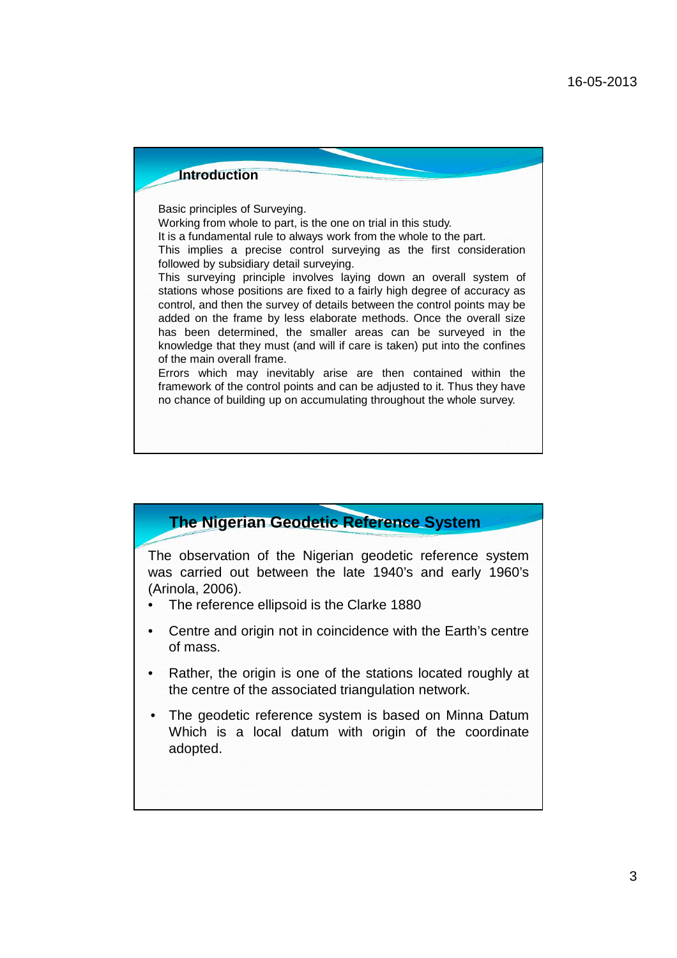

# **The Nigerian Geodetic Reference System**

The observation of the Nigerian geodetic reference system was carried out between the late 1940's and early 1960's (Arinola, 2006).

- The reference ellipsoid is the Clarke 1880
- Centre and origin not in coincidence with the Earth's centre of mass.
- Rather, the origin is one of the stations located roughly at the centre of the associated triangulation network.
- The geodetic reference system is based on Minna Datum Which is a local datum with origin of the coordinate adopted.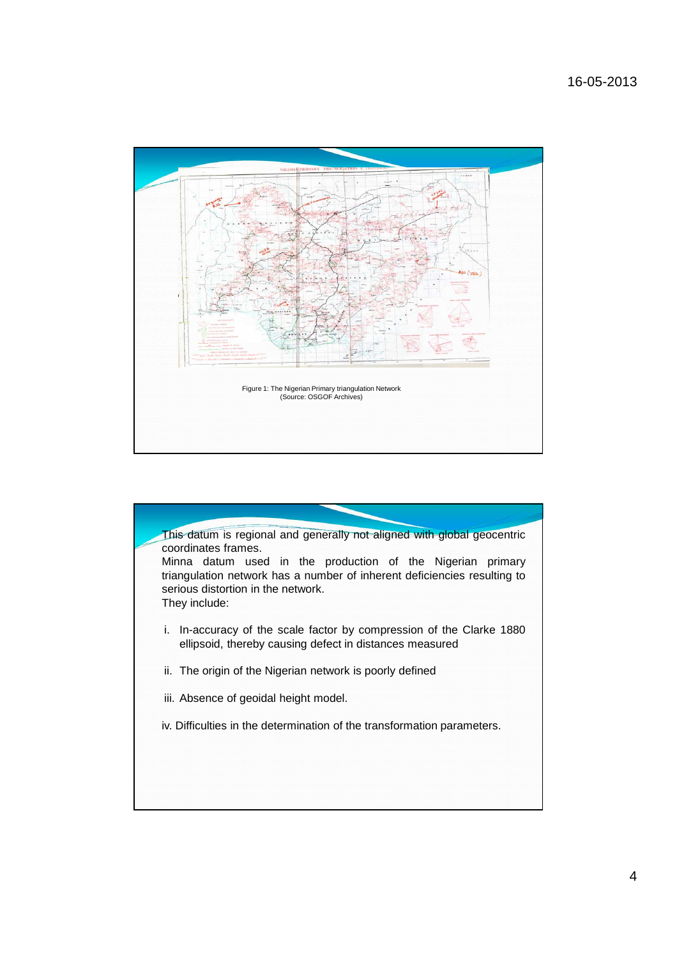

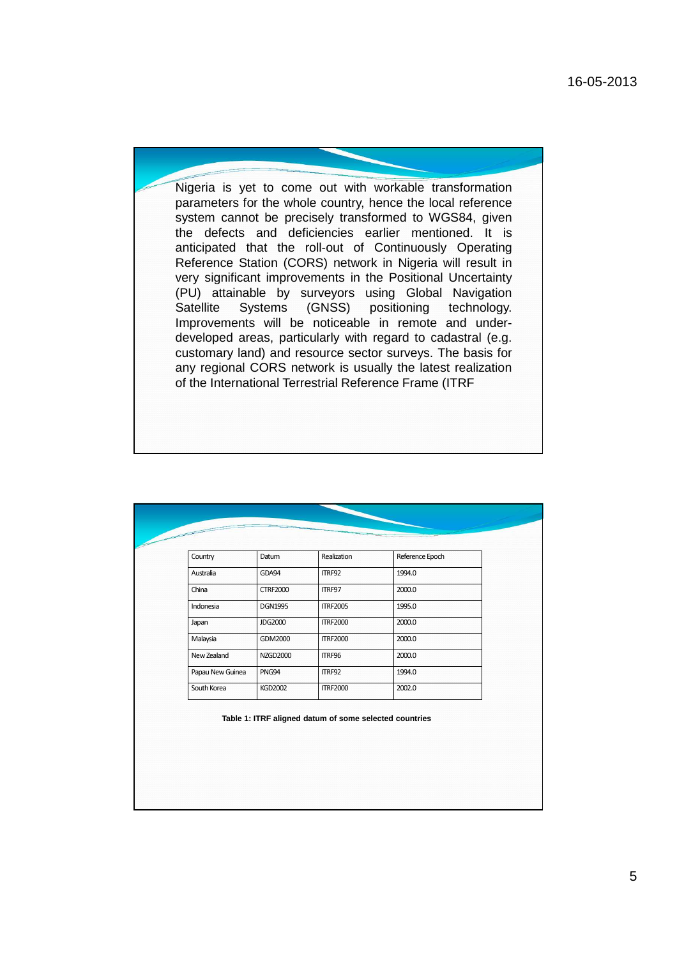Nigeria is yet to come out with workable transformation parameters for the whole country, hence the local reference system cannot be precisely transformed to WGS84, given the defects and deficiencies earlier mentioned. It is anticipated that the roll-out of Continuously Operating Reference Station (CORS) network in Nigeria will result in very significant improvements in the Positional Uncertainty (PU) attainable by surveyors using Global Navigation Satellite Systems (GNSS) positioning technology. Improvements will be noticeable in remote and underdeveloped areas, particularly with regard to cadastral (e.g. customary land) and resource sector surveys. The basis for any regional CORS network is usually the latest realization of the International Terrestrial Reference Frame (ITRF

| Australia        |                 |                                                        |        |
|------------------|-----------------|--------------------------------------------------------|--------|
|                  | GDA94           | ITRF92                                                 | 1994.0 |
| China            | <b>CTRF2000</b> | ITRF97                                                 | 2000.0 |
| Indonesia        | <b>DGN1995</b>  | <b>ITRF2005</b>                                        | 1995.0 |
| Japan            | <b>JDG2000</b>  | <b>ITRF2000</b>                                        | 2000.0 |
| Malaysia         | GDM2000         | <b>ITRF2000</b>                                        | 2000.0 |
| New Zealand      | <b>NZGD2000</b> | ITRF96                                                 | 2000.0 |
| Papau New Guinea | PNG94           | ITRF92                                                 | 1994.0 |
| South Korea      | <b>KGD2002</b>  | <b>ITRF2000</b>                                        | 2002.0 |
|                  |                 | Table 1: ITRF aligned datum of some selected countries |        |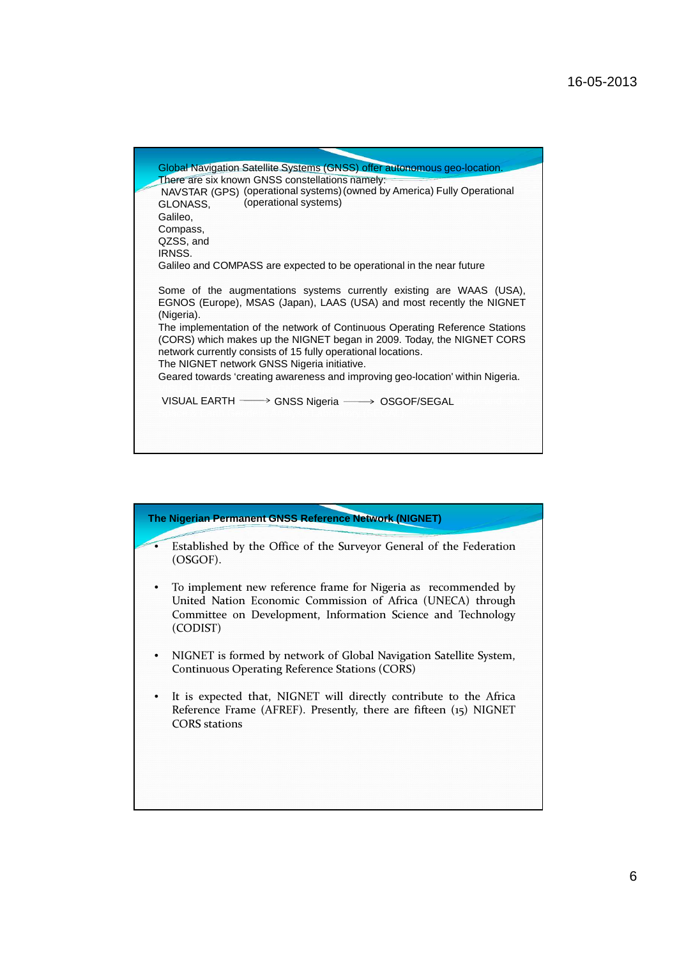| Global Navigation Satellite Systems (GNSS) offer autonomous geo-location.<br>There are six known GNSS constellations namely: |  |
|------------------------------------------------------------------------------------------------------------------------------|--|
|                                                                                                                              |  |
|                                                                                                                              |  |
| NAVSTAR (GPS) (operational systems) (owned by America) Fully Operational                                                     |  |
| (operational systems)<br>GLONASS.                                                                                            |  |
| Galileo,                                                                                                                     |  |
| Compass,                                                                                                                     |  |
| QZSS, and<br>IRNSS.                                                                                                          |  |
| Galileo and COMPASS are expected to be operational in the near future                                                        |  |
|                                                                                                                              |  |
| Some of the augmentations systems currently existing are WAAS (USA),                                                         |  |
| EGNOS (Europe), MSAS (Japan), LAAS (USA) and most recently the NIGNET                                                        |  |
| (Nigeria).                                                                                                                   |  |
| The implementation of the network of Continuous Operating Reference Stations                                                 |  |
| (CORS) which makes up the NIGNET began in 2009. Today, the NIGNET CORS                                                       |  |
| network currently consists of 15 fully operational locations.                                                                |  |
| The NIGNET network GNSS Nigeria initiative.                                                                                  |  |
| Geared towards 'creating awareness and improving geo-location' within Nigeria.                                               |  |
|                                                                                                                              |  |
| VISUAL EARTH - GNSS Nigeria - OSGOF/SEGAL                                                                                    |  |
|                                                                                                                              |  |
|                                                                                                                              |  |

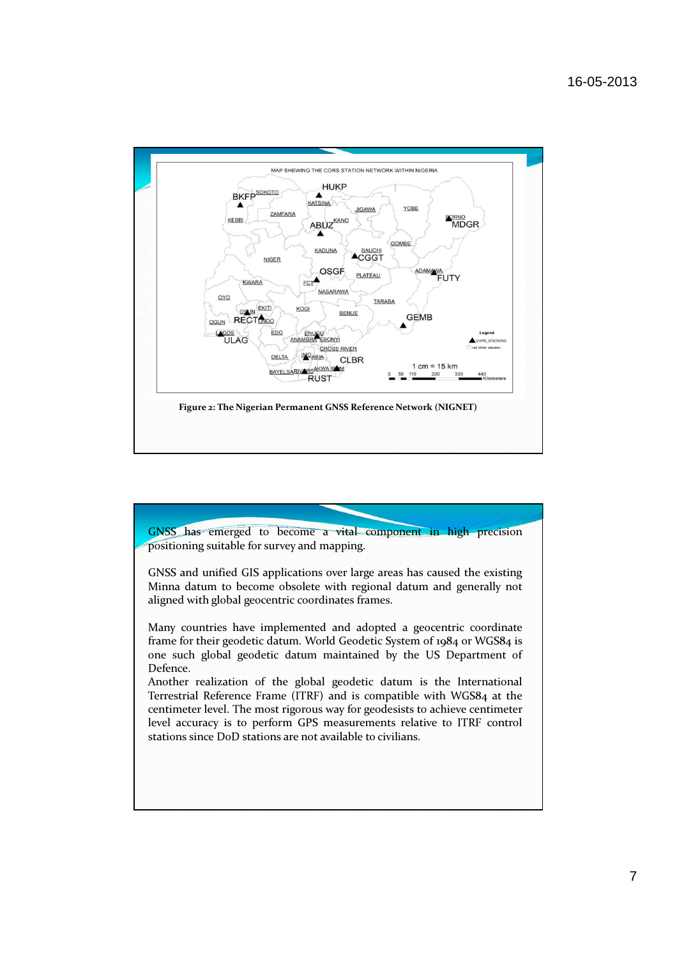![](_page_6_Figure_1.jpeg)

![](_page_6_Figure_2.jpeg)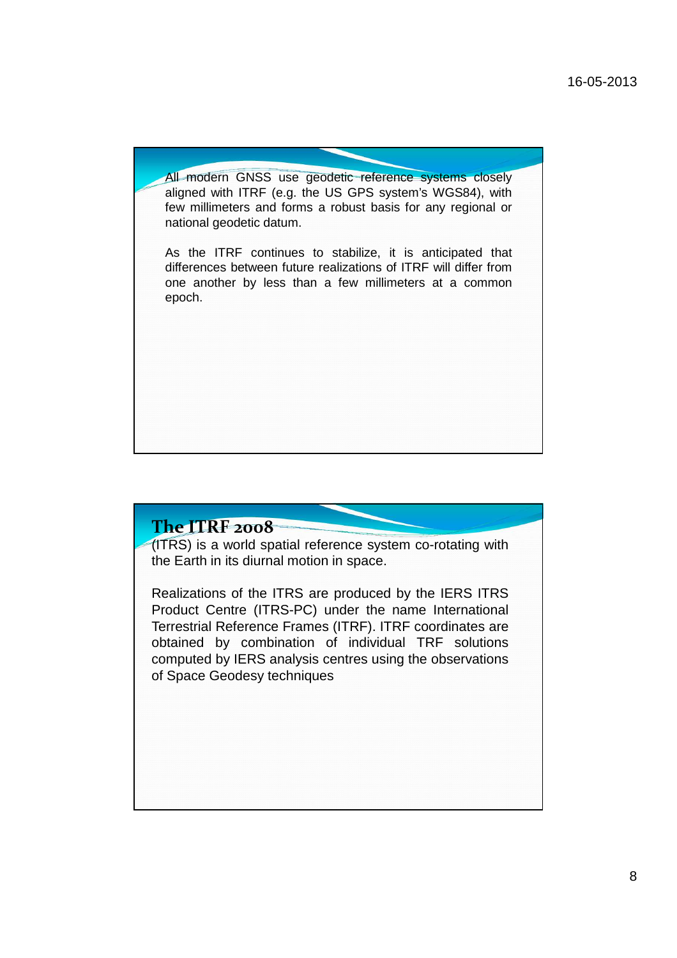All modern GNSS use geodetic reference systems closely aligned with ITRF (e.g. the US GPS system's WGS84), with few millimeters and forms a robust basis for any regional or national geodetic datum.

As the ITRF continues to stabilize, it is anticipated that differences between future realizations of ITRF will differ from one another by less than a few millimeters at a common epoch.

# The ITRF 2008

(ITRS) is a world spatial reference system co-rotating with the Earth in its diurnal motion in space.

Realizations of the ITRS are produced by the IERS ITRS Product Centre (ITRS-PC) under the name International Terrestrial Reference Frames (ITRF). ITRF coordinates are obtained by combination of individual TRF solutions computed by IERS analysis centres using the observations of Space Geodesy techniques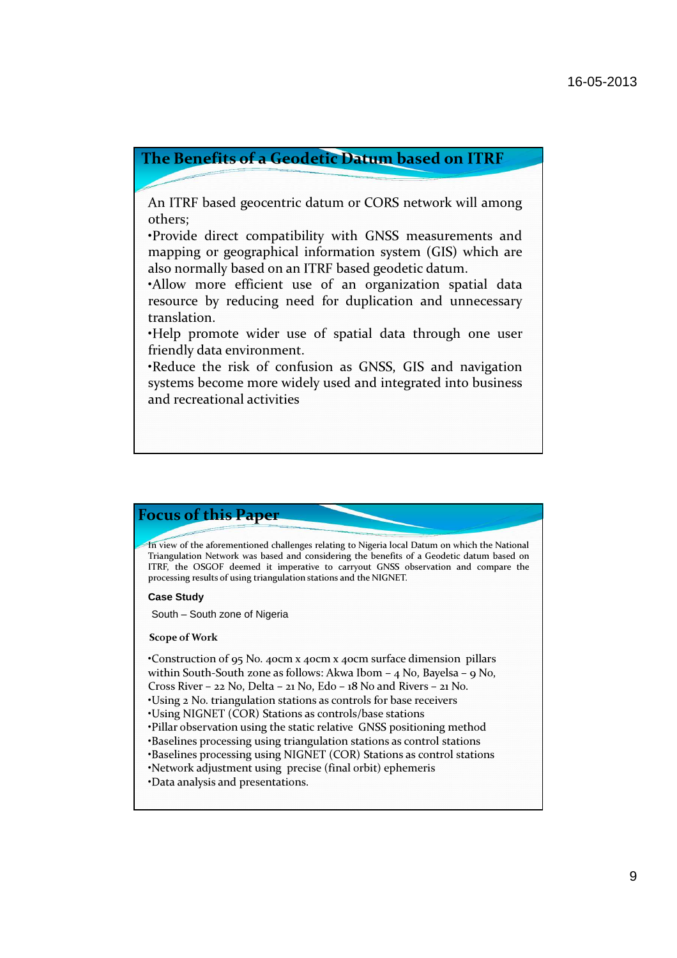## The Benefits of a Geodetic Datum based on ITRF

An ITRF based geocentric datum or CORS network will among others;

•Provide direct compatibility with GNSS measurements and mapping or geographical information system (GIS) which are also normally based on an ITRF based geodetic datum.

•Allow more efficient use of an organization spatial data resource by reducing need for duplication and unnecessary translation.

•Help promote wider use of spatial data through one user friendly data environment.

•Reduce the risk of confusion as GNSS, GIS and navigation systems become more widely used and integrated into business and recreational activities

![](_page_8_Picture_7.jpeg)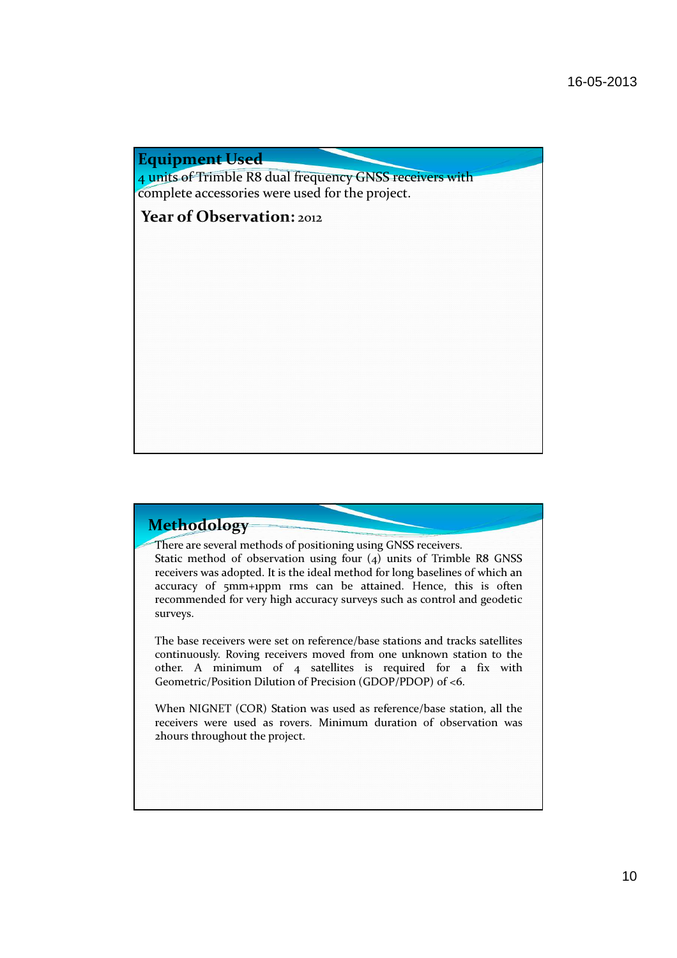Equipment Used

4 units of Trimble R8 dual frequency GNSS receivers with complete accessories were used for the project.

Year of Observation: 2012

# Methodology

There are several methods of positioning using GNSS receivers.

Static method of observation using four (4) units of Trimble R8 GNSS receivers was adopted. It is the ideal method for long baselines of which an accuracy of 5mm+1ppm rms can be attained. Hence, this is often recommended for very high accuracy surveys such as control and geodetic surveys.

The base receivers were set on reference/base stations and tracks satellites continuously. Roving receivers moved from one unknown station to the other. A minimum of 4 satellites is required for a fix with Geometric/Position Dilution of Precision (GDOP/PDOP) of <6.

When NIGNET (COR) Station was used as reference/base station, all the receivers were used as rovers. Minimum duration of observation was 2hours throughout the project.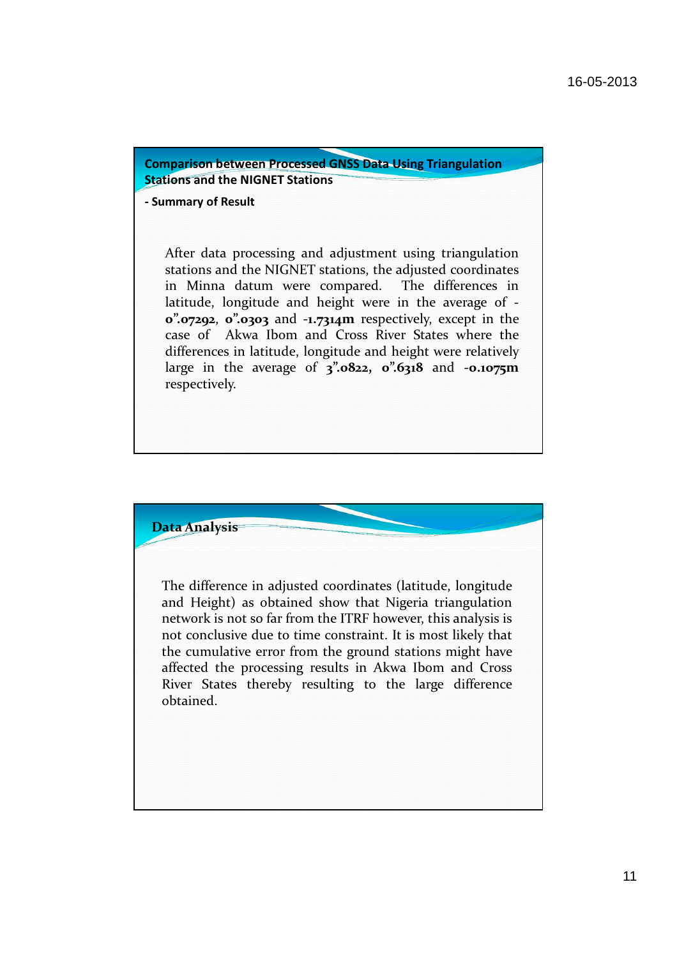Comparison between Processed GNSS Data Using Triangulation **Stations and the NIGNET Stations** 

## - Summary of Result

After data processing and adjustment using triangulation stations and the NIGNET stations, the adjusted coordinates in Minna datum were compared. The differences in latitude, longitude and height were in the average of - 0".07292, 0".0303 and -1.7314m respectively, except in the case of Akwa Ibom and Cross River States where the differences in latitude, longitude and height were relatively large in the average of  $3$ ".0822, 0".6318 and -0.1075m respectively.

![](_page_10_Picture_4.jpeg)